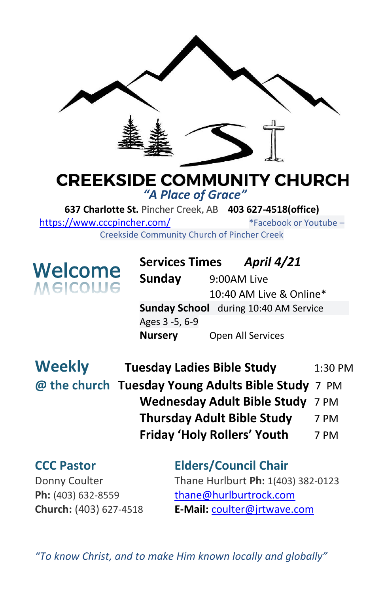

## **CREEKSIDE COMMUNITY CHURCH** *"A Place of Grace"*

**637 Charlotte St.** Pincher Creek, AB **403 627-4518(office)**  <https://www.cccpincher.com/>\*Facebook or Youtube – Creekside Community Church of Pincher Creek

**Welcome**<br>Melcolue

**! Services Times** *April 4/21* **Sunday** 9:00AM Live 10:40 AM Live & Online\* **Sunday School** during 10:40 AM Service Ages 3 -5, 6-9 **Nursery** Open All Services

| <b>Weekly</b> | <b>Tuesday Ladies Bible Study</b>                  | 1:30 PM |
|---------------|----------------------------------------------------|---------|
|               | @ the church Tuesday Young Adults Bible Study 7 PM |         |
|               | Wednesday Adult Bible Study 7 PM                   |         |
|               | <b>Thursday Adult Bible Study</b>                  | 7 PM    |
|               | <b>Friday 'Holy Rollers' Youth</b>                 | 7 PM    |

## **CCC Pastor Elders/Council Chair** Donny Coulter Thane Hurlburt **Ph:** 1(403) 382-0123 Ph: (403) 632-8559 [thane@hurlburtrock.com](mailto:thane@hurlburtrock.com)

**Church:** (403) 627-4518 **E-Mail:** [coulter@jrtwave.com](mailto:coulter@jrtwave.com)

*"To know Christ, and to make Him known locally and globally"*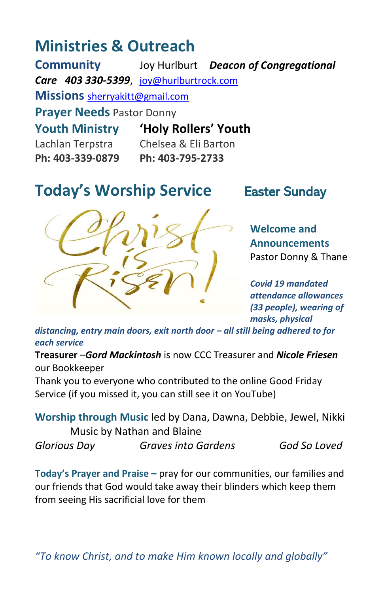# **Ministries & Outreach**

**Community** Joy Hurlburt *Deacon of Congregational Care 403 330-5399*, [joy@hurlburtrock.com](mailto:joy@hurlburtrock.com) **Missions** [sherryakitt@gmail.com](mailto:sherryakitt@gmail.com) **Prayer Needs** Pastor Donny **Youth Ministry 'Holy Rollers' Youth** Lachlan Terpstra Chelsea & Eli Barton **Ph: 403-339-0879 Ph: 403-795-2733**

# **Today's Worship Service** Easter Sunday



**Welcome and Announcements** Pastor Donny & Thane

*Covid 19 mandated attendance allowances (33 people), wearing of masks, physical* 

*[distancing,](https://creativecommons.org/licenses/by-nc-sa/3.0/) entry main doors, exit north door – all still being adhered to for*  [This Photo](http://nelsonunitedchurch.ca/christ-is-risen/) by Unknown Author is licensed unde[r CC](https://creativecommons.org/licenses/by-nc-sa/3.0/) *each service*

**Treasurer** –*Gord Mackintosh* is now CCC Treasurer and *Nicole Friesen* our Bookkeeper

Thank you to everyone who contributed to the online Good Friday Service (if you missed it, you can still see it on YouTube)

**Worship through Music** led by Dana, Dawna, Debbie, Jewel, Nikki Music by Nathan and Blaine

*Glorious Day Graves into Gardens God So Loved*

**Today's Prayer and Praise –** pray for our communities, our families and our friends that God would take away their blinders which keep them from seeing His sacrificial love for them

*"To know Christ, and to make Him known locally and globally"*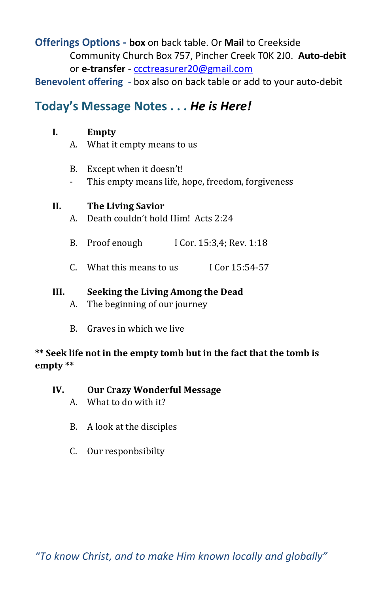#### **Offerings Options - box** on back table. Or **Mail** to Creekside Community Church Box 757, Pincher Creek T0K 2J0. **Auto-debit** or **e-transfer** - [ccctreasurer20@gmail.com](mailto:ccctreasurer20@gmail.com)

**Benevolent offering** - box also on back table or add to your auto-debit

### **Today's Message Notes . . .** *He is Here!*

#### **I. Empty**

- A. What it empty means to us
- B. Except when it doesn't!
- This empty means life, hope, freedom, forgiveness

#### **II. The Living Savior**

- A. Death couldn't hold Him! Acts 2:24
- B. Proof enough I Cor. 15:3,4; Rev. 1:18
- C. What this means to us I Cor 15:54-57

#### **III. Seeking the Living Among the Dead**

- A. The beginning of our journey
- B. Graves in which we live

#### **\*\* Seek life not in the empty tomb but in the fact that the tomb is empty \*\***

- **IV. Our Crazy Wonderful Message**
	- A. What to do with it?
	- B. A look at the disciples
	- C. Our responbsibilty

*"To know Christ, and to make Him known locally and globally"*